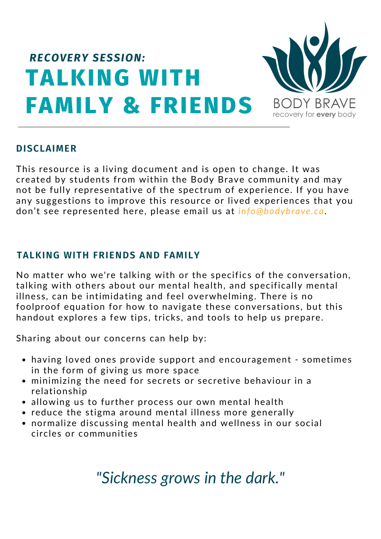

#### **DISCLAIMER**

This resource is a living document and is open to change. It was created by students from within the Body Brave community and may not be fully representative of the spectrum of experience. If you have any suggestions to improve this resource or lived experiences that you don't see represented here, please email us at *info@bodybrave.ca*.

#### **TALKING WITH FRIENDS AND FAMILY**

No matter who we're talking with or the specifics of the conversation, talking with others about our mental health, and specifically mental illness, can be intimidating and feel overwhelming. There is no foolproof equation for how to navigate these conversations, but this handout explores a few tips, tricks, and tools to help us prepare.

Sharing about our concerns can help by:

- having loved ones provide support and encouragement sometimes in the form of giving us more space
- minimizing the need for secrets or secretive behaviour in a relationship
- allowing us to further process our own mental health
- reduce the stigma around mental illness more generally
- normalize discussing mental health and wellness in our social circles or communities

# *"Sickness grows in the dark."*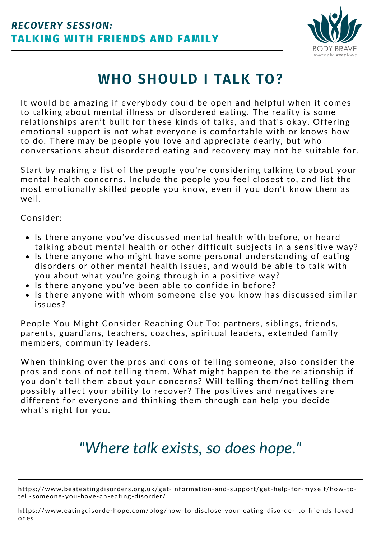

# **WHO SHOULD I TALK TO?**

It would be amazing if everybody could be open and helpful when it comes to talking about mental illness or disordered eating. The reality is some relationships aren't built for these kinds of talks, and that's okay. Offering emotional support is not what everyone is comfortable with or knows how to do. There may be people you love and appreciate dearly, but who conversations about disordered eating and recovery may not be suitable for.

Start by making a list of the people you're considering talking to about your mental health concerns. Include the people you feel closest to, and list the most emotionally skilled people you know, even if you don't know them as well.

Consider:

- Is there anyone you've discussed mental health with before, or heard talking about mental health or other difficult subjects in a sensitive way?
- Is there anyone who might have some personal understanding of eating disorders or other mental health issues, and would be able to talk with you about what you're going through in a positive way?
- Is there anyone you've been able to confide in before?
- Is there anyone with whom someone else you know has discussed similar issues?

People You Might Consider Reaching Out To: partners, siblings, friends, parents, guardians, teachers, coaches, spiritual leaders, extended family members, community leaders.

When thinking over the pros and cons of telling someone, also consider the pros and cons of not telling them. What might happen to the relationship if you don't tell them about your concerns? Will telling them/not telling them possibly affect your ability to recover? The positives and negatives are different for everyone and thinking them through can help you decide what's right for you.

# *"Where talk exists, so does hope."*

https://www.beateatingdisorders.org.uk/get-information-and-support/get-help-for-myself/how-totell-someone-you-have-an-eating-disorder/

https://www.eatingdisorderhope.com/blog/how-to-disclose-your-eating-disorder-to-friends-lovedones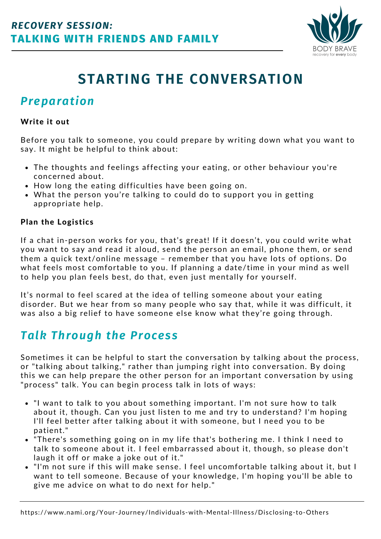

# **STARTING THE CONVERSATION**

### *Preparation*

#### Write it out

Before you talk to someone, you could prepare by writing down what you want to say. It might be helpful to think about:

- The thoughts and feelings affecting your eating, or other behaviour you're concerned about.
- How long the eating difficulties have been going on.
- What the person you're talking to could do to support you in getting appropriate help.

#### Plan the Logistics

If a chat in-person works for you, that's great! If it doesn't, you could write what you want to say and read it aloud, send the person an email, phone them, or send them a quick text/online message – remember that you have lots of options. Do what feels most comfortable to you. If planning a date/time in your mind as well to help you plan feels best, do that, even just mentally for yourself.

It's normal to feel scared at the idea of telling someone about your eating disorder. But we hear from so many people who say that, while it was difficult, it was also a big relief to have someone else know what they're going through.

### *Talk Through the Process*

Sometimes it can be helpful to start the conversation by talking about the process, or "talking about talking," rather than jumping right into conversation. By doing this we can help prepare the other person for an important conversation by using "process" talk. You can begin process talk in lots of ways:

- "I want to talk to you about something important. I'm not sure how to talk about it, though. Can you just listen to me and try to understand? I'm hoping I'll feel better after talking about it with someone, but I need you to be patient."
- "There's something going on in my life that's bothering me. I think I need to talk to someone about it. I feel embarrassed about it, though, so please don't laugh it off or make a joke out of it."
- "I'm not sure if this will make sense. I feel uncomfortable talking about it, but I want to tell someone. Because of your knowledge, I'm hoping you'll be able to give me advice on what to do next for help."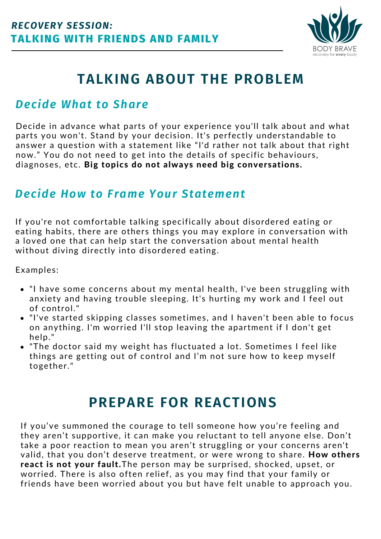

# **TALKING ABOUT THE PROBLEM**

### *Decide What to Share*

Decide in advance what parts of your experience you'll talk about and what parts you won't. Stand by your decision. It's perfectly understandable to answer a question with a statement like "I'd rather not talk about that right now." You do not need to get into the details of specific behaviours, diagnoses, etc. Big topics do not always need big conversations.

### *Decide How to Frame Your Statement*

If you're not comfortable talking specifically about disordered eating or eating habits, there are others things you may explore in conversation with a loved one that can help start the conversation about mental health without diving directly into disordered eating.

Examples:

- "I have some concerns about my mental health, I've been struggling with anxiety and having trouble sleeping. It's hurting my work and I feel out of control."
- "I've started skipping classes sometimes, and I haven't been able to focus on anything. I'm worried I'll stop leaving the apartment if I don't get help."
- "The doctor said my weight has fluctuated a lot. Sometimes I feel like things are getting out of control and I'm not sure how to keep myself together."

## **PREPARE FOR REACTIONS**

If you've summoned the courage to tell someone how you're feeling and they aren't supportive, it can make you reluctant to tell anyone else. Don't take a poor reaction to mean you aren't struggling or your concerns aren't valid, that you don't deserve treatment, or were wrong to share. How others react is not your fault.The person may be surprised, shocked, upset, or worried. There is also often relief, as you may find that your family or friends have been worried about you but have felt unable to approach you.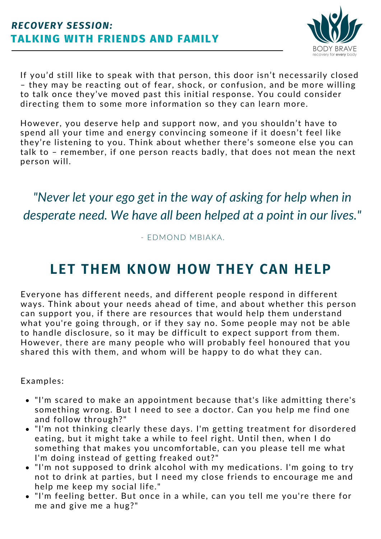### **TALKING WITH FRIENDS AND FAMILY** *RECOVERY SESSION:*



If you'd still like to speak with that person, this door isn't necessarily closed – they may be reacting out of fear, shock, or confusion, and be more willing to talk once they've moved past this initial response. You could consider directing them to some more information so they can learn more.

However, you deserve help and support now, and you shouldn't have to spend all your time and energy convincing someone if it doesn't feel like they're listening to you. Think about whether there's someone else you can talk to – remember, if one person reacts badly, that does not mean the next person will.

## *"Never let your ego get in the way of asking for help when in desperate need. We have all been helped at a point in our lives."*

#### - EDMOND MBIAKA.

## **LET THEM KNOW HOW THEY CAN HELP**

Everyone has different needs, and different people respond in different ways. Think about your needs ahead of time, and about whether this person can support you, if there are resources that would help them understand what you're going through, or if they say no. Some people may not be able to handle disclosure, so it may be difficult to expect support from them. However, there are many people who will probably feel honoured that you shared this with them, and whom will be happy to do what they can.

Examples:

- "I'm scared to make an appointment because that's like admitting there's something wrong. But I need to see a doctor. Can you help me find one and follow through?"
- "I'm not thinking clearly these days. I'm getting treatment for disordered eating, but it might take a while to feel right. Until then, when I do something that makes you uncomfortable, can you please tell me what I'm doing instead of getting freaked out?"
- "I'm not supposed to drink alcohol with my medications. I'm going to try not to drink at parties, but I need my close friends to encourage me and help me keep my social life."
- "I'm feeling better. But once in a while, can you tell me you're there for me and give me a hug?"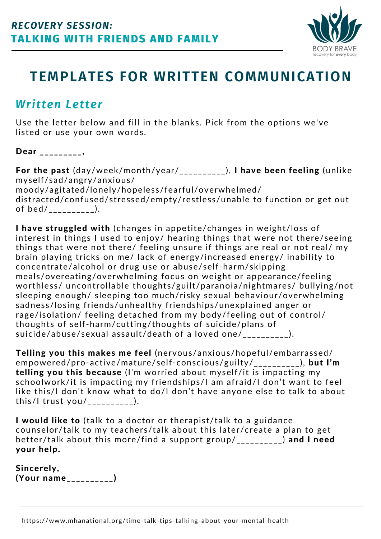

## **TEMPLATES FOR WRITTEN COMMUNICATION**

### *Written Letter*

Use the letter below and fill in the blanks. Pick from the options we've listed or use your own words.

Dear \_\_\_\_\_\_\_\_\_,

For the past (day/week/month/year/\_\_\_\_\_\_\_\_\_\_), I have been feeling (unlike myself/sad/angry/anxious/ moody/agitated/lonely/hopeless/fearful/overwhelmed/ distracted/confused/stressed/empty/restless/unable to function or get out of bed/\_\_\_\_\_\_\_\_\_\_).

I have struggled with (changes in appetite/changes in weight/loss of interest in things I used to enjoy/ hearing things that were not there/seeing things that were not there/ feeling unsure if things are real or not real/ my brain playing tricks on me/ lack of energy/increased energy/ inability to concentrate/alcohol or drug use or abuse/self-harm/skipping meals/overeating/overwhelming focus on weight or appearance/feeling worthless/ uncontrollable thoughts/guilt/paranoia/nightmares/ bullying/not sleeping enough/ sleeping too much/risky sexual behaviour/overwhelming sadness/losing friends/unhealthy friendships/unexplained anger or rage/isolation/ feeling detached from my body/feeling out of control/ thoughts of self-harm/cutting/thoughts of suicide/plans of suicide/abuse/sexual assault/death of a loved one/\_\_\_\_\_\_\_\_\_\_).

Telling you this makes me feel (nervous/anxious/hopeful/embarrassed/ empowered/pro-active/mature/self-conscious/guilty/\_\_\_\_\_\_\_\_\_\_), but I'm telling you this because (I'm worried about myself/it is impacting my schoolwork/it is impacting my friendships/I am afraid/I don't want to feel like this/I don't know what to do/I don't have anyone else to talk to about this/I trust you/\_\_\_\_\_\_\_\_\_\_).

I would like to (talk to a doctor or therapist/talk to a guidance counselor/talk to my teachers/talk about this later/create a plan to get better/talk about this more/find a support group/\_\_\_\_\_\_\_\_\_) and I need your help.

Sincerely, (Your name\_\_\_\_\_\_\_\_\_\_)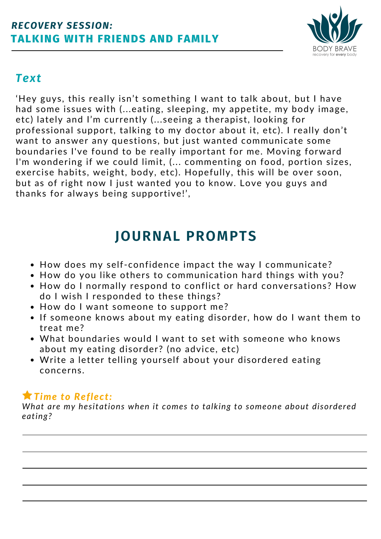

### *Text*

'Hey guys, this really isn't something I want to talk about, but I have had some issues with (...eating, sleeping, my appetite, my body image, etc) lately and I'm currently (...seeing a therapist, looking for professional support, talking to my doctor about it, etc). I really don't want to answer any questions, but just wanted communicate some boundaries I've found to be really important for me. Moving forward I'm wondering if we could limit, (... commenting on food, portion sizes, exercise habits, weight, body, etc). Hopefully, this will be over soon, but as of right now I just wanted you to know. Love you guys and thanks for always being supportive!',

## **JOURNAL PROMPTS**

- How does my self-confidence impact the way I communicate?
- How do you like others to communication hard things with you?
- How do I normally respond to conflict or hard conversations? How do I wish I responded to these things?
- How do I want someone to support me?
- If someone knows about my eating disorder, how do I want them to treat me?
- What boundaries would I want to set with someone who knows about my eating disorder? (no advice, etc)
- Write a letter telling yourself about your disordered eating concerns.

### *Time to Reflect:*

*What are my hesitations when it comes to talking to someone about disordered eating?*